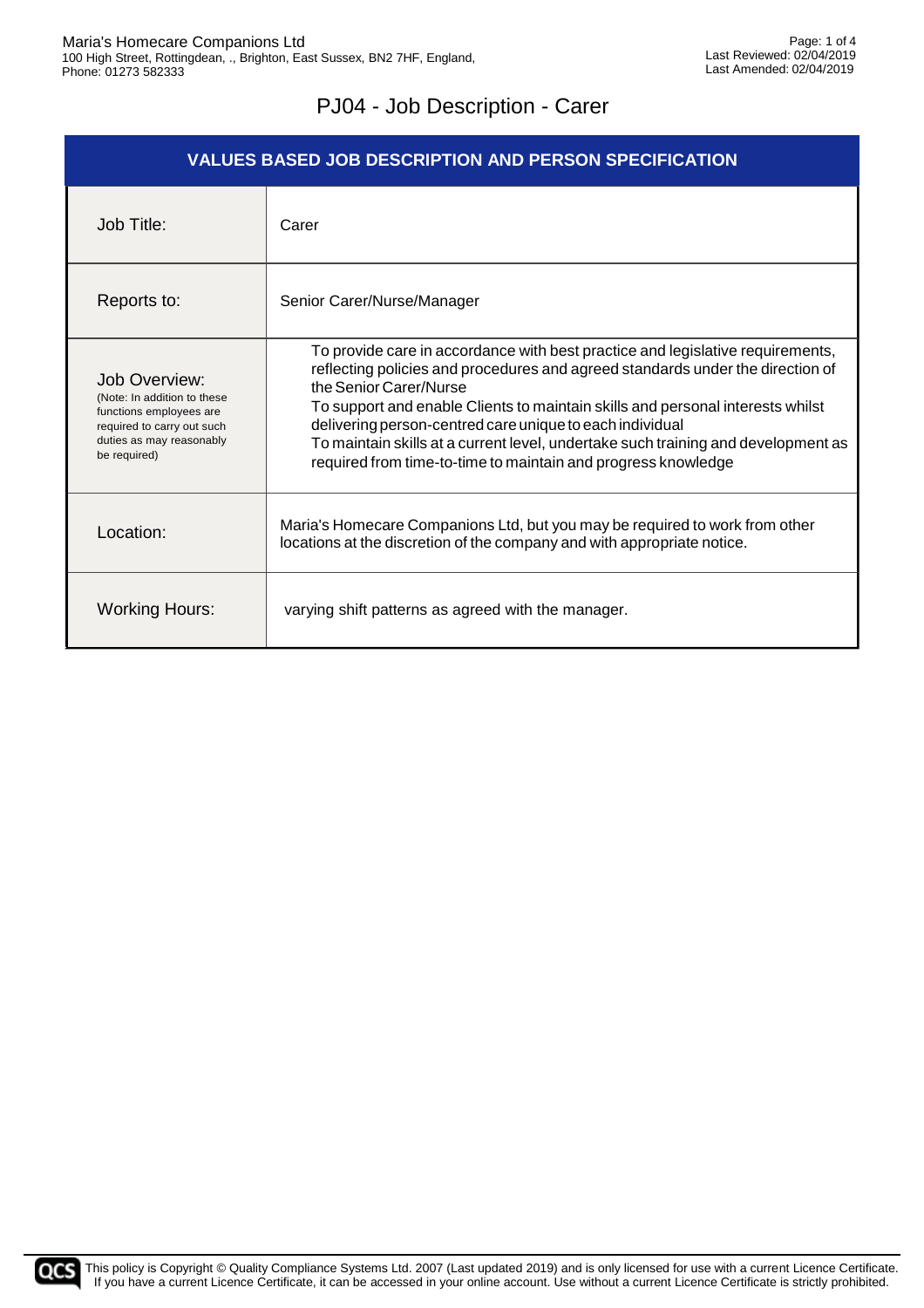| <b>VALUES BASED JOB DESCRIPTION AND PERSON SPECIFICATION</b>                                                                                      |                                                                                                                                                                                                                                                                                                                                                                                                                                                                                                |  |
|---------------------------------------------------------------------------------------------------------------------------------------------------|------------------------------------------------------------------------------------------------------------------------------------------------------------------------------------------------------------------------------------------------------------------------------------------------------------------------------------------------------------------------------------------------------------------------------------------------------------------------------------------------|--|
| Job Title:                                                                                                                                        | Carer                                                                                                                                                                                                                                                                                                                                                                                                                                                                                          |  |
| Reports to:                                                                                                                                       | Senior Carer/Nurse/Manager                                                                                                                                                                                                                                                                                                                                                                                                                                                                     |  |
| Job Overview:<br>(Note: In addition to these<br>functions employees are<br>required to carry out such<br>duties as may reasonably<br>be required) | To provide care in accordance with best practice and legislative requirements,<br>reflecting policies and procedures and agreed standards under the direction of<br>the Senior Carer/Nurse<br>To support and enable Clients to maintain skills and personal interests whilst<br>delivering person-centred care unique to each individual<br>To maintain skills at a current level, undertake such training and development as<br>required from time-to-time to maintain and progress knowledge |  |
| Location:                                                                                                                                         | Maria's Homecare Companions Ltd, but you may be required to work from other<br>locations at the discretion of the company and with appropriate notice.                                                                                                                                                                                                                                                                                                                                         |  |
| <b>Working Hours:</b>                                                                                                                             | varying shift patterns as agreed with the manager.                                                                                                                                                                                                                                                                                                                                                                                                                                             |  |

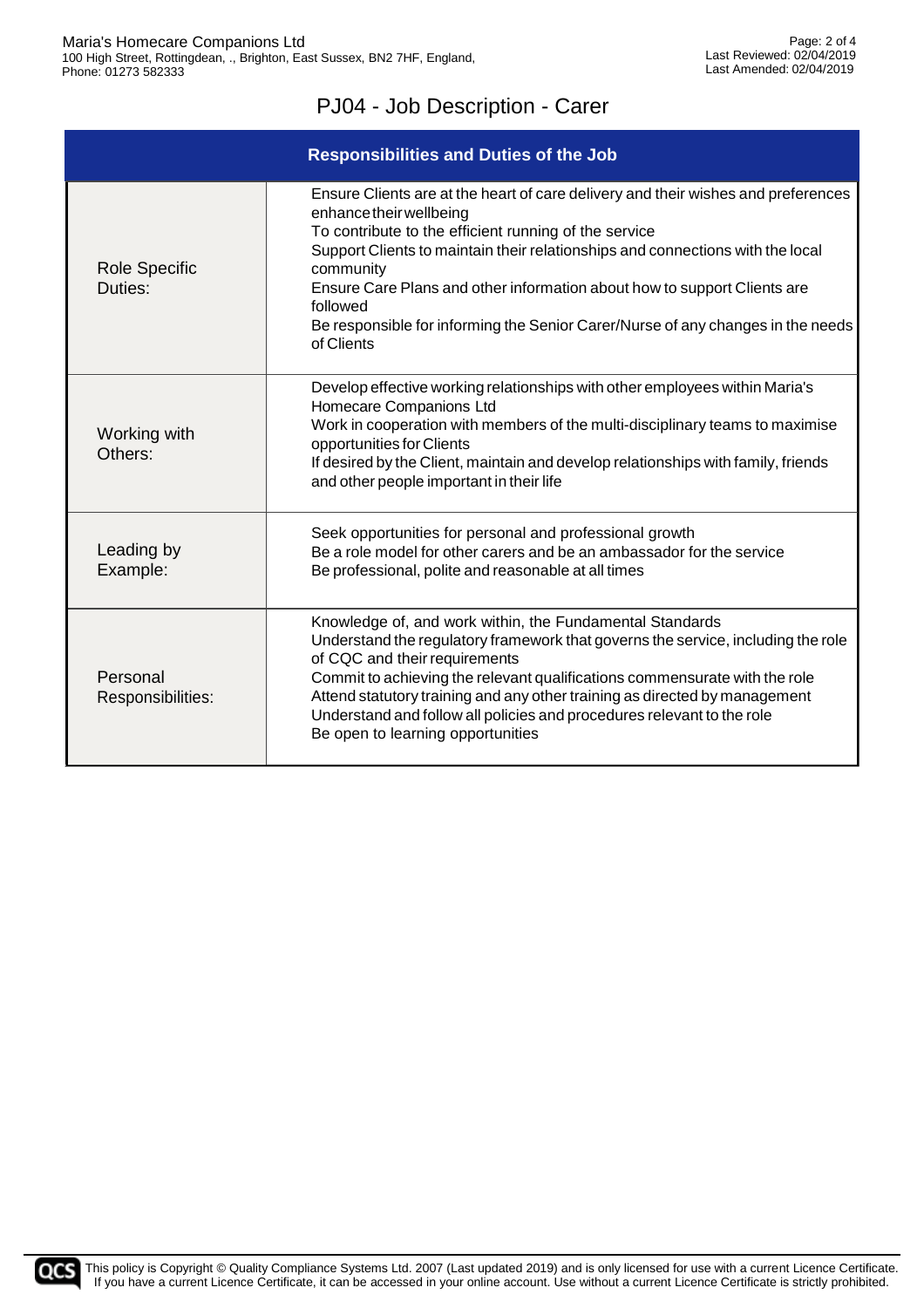| <b>Responsibilities and Duties of the Job</b> |                                                                                                                                                                                                                                                                                                                                                                                                                                                               |  |
|-----------------------------------------------|---------------------------------------------------------------------------------------------------------------------------------------------------------------------------------------------------------------------------------------------------------------------------------------------------------------------------------------------------------------------------------------------------------------------------------------------------------------|--|
| <b>Role Specific</b><br>Duties:               | Ensure Clients are at the heart of care delivery and their wishes and preferences<br>enhance their wellbeing<br>To contribute to the efficient running of the service<br>Support Clients to maintain their relationships and connections with the local<br>community<br>Ensure Care Plans and other information about how to support Clients are<br>followed<br>Be responsible for informing the Senior Carer/Nurse of any changes in the needs<br>of Clients |  |
| Working with<br>Others:                       | Develop effective working relationships with other employees within Maria's<br>Homecare Companions Ltd<br>Work in cooperation with members of the multi-disciplinary teams to maximise<br>opportunities for Clients<br>If desired by the Client, maintain and develop relationships with family, friends<br>and other people important in their life                                                                                                          |  |
| Leading by<br>Example:                        | Seek opportunities for personal and professional growth<br>Be a role model for other carers and be an ambassador for the service<br>Be professional, polite and reasonable at all times                                                                                                                                                                                                                                                                       |  |
| Personal<br>Responsibilities:                 | Knowledge of, and work within, the Fundamental Standards<br>Understand the regulatory framework that governs the service, including the role<br>of CQC and their requirements<br>Commit to achieving the relevant qualifications commensurate with the role<br>Attend statutory training and any other training as directed by management<br>Understand and follow all policies and procedures relevant to the role<br>Be open to learning opportunities      |  |

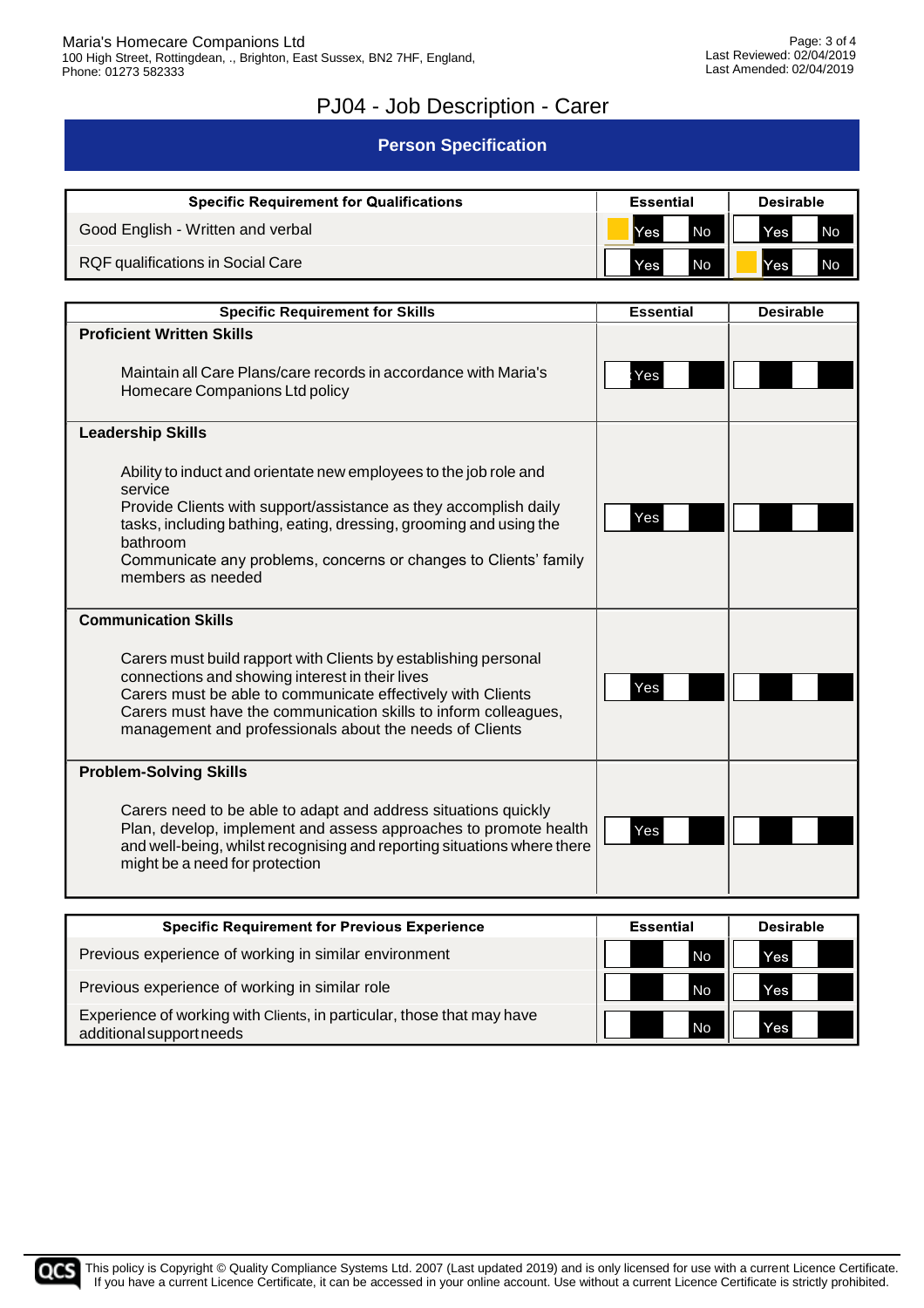#### **Person Specification**

| <b>Specific Requirement for Qualifications</b> | <b>Essential</b>          | <b>Desirable</b>        |  |
|------------------------------------------------|---------------------------|-------------------------|--|
| Good English - Written and verbal              | <b>I</b> Yes<br><b>No</b> | <b>No</b><br><b>Yes</b> |  |
| RQF qualifications in Social Care              | No<br>Yes.                | <b>Yes</b><br><b>No</b> |  |

| <b>Specific Requirement for Skills</b>                                                                                                                                                                                                                                                                          | <b>Essential</b> | <b>Desirable</b> |
|-----------------------------------------------------------------------------------------------------------------------------------------------------------------------------------------------------------------------------------------------------------------------------------------------------------------|------------------|------------------|
| <b>Proficient Written Skills</b><br>Maintain all Care Plans/care records in accordance with Maria's                                                                                                                                                                                                             | Yes              |                  |
| Homecare Companions Ltd policy                                                                                                                                                                                                                                                                                  |                  |                  |
| <b>Leadership Skills</b>                                                                                                                                                                                                                                                                                        |                  |                  |
| Ability to induct and orientate new employees to the job role and<br>service                                                                                                                                                                                                                                    |                  |                  |
| Provide Clients with support/assistance as they accomplish daily<br>tasks, including bathing, eating, dressing, grooming and using the<br>bathroom                                                                                                                                                              | Yes              |                  |
| Communicate any problems, concerns or changes to Clients' family<br>members as needed                                                                                                                                                                                                                           |                  |                  |
| <b>Communication Skills</b>                                                                                                                                                                                                                                                                                     |                  |                  |
| Carers must build rapport with Clients by establishing personal<br>connections and showing interest in their lives<br>Carers must be able to communicate effectively with Clients<br>Carers must have the communication skills to inform colleagues,<br>management and professionals about the needs of Clients | Yes              |                  |
| <b>Problem-Solving Skills</b>                                                                                                                                                                                                                                                                                   |                  |                  |
| Carers need to be able to adapt and address situations quickly<br>Plan, develop, implement and assess approaches to promote health<br>and well-being, whilst recognising and reporting situations where there<br>might be a need for protection                                                                 | Yes              |                  |
|                                                                                                                                                                                                                                                                                                                 |                  |                  |

| <b>Specific Requirement for Previous Experience</b>                                                | <b>Essential</b> | <b>Desirable</b> |
|----------------------------------------------------------------------------------------------------|------------------|------------------|
| Previous experience of working in similar environment                                              | No               | Yes              |
| Previous experience of working in similar role                                                     | No               | Yes              |
| Experience of working with Clients, in particular, those that may have<br>additional support needs | No               | Yes              |